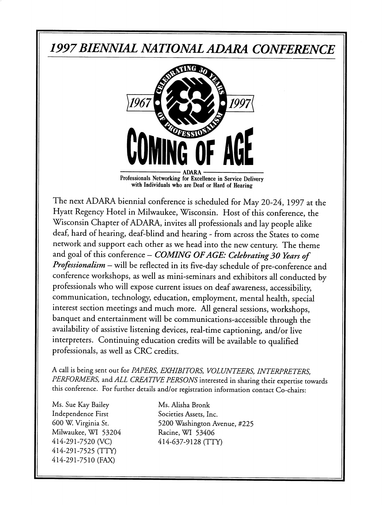# 1997BIENNIAL NATIONAL ADARA CONFERENCE



Professionals Networking for Excellence in Service Delivery with Individuals who are Deaf or Hard of Hearing

The next ADARA biennial conference is scheduled for May 20-24, 1997 at the Hyatt Regency Hotel in Milwaukee, Wisconsin. Host of this conference, the Wisconsin Chapter of ADARA, invites all professionals and lay people alike deaf, hard of hearing, deaf-blind and hearing - from across the States to come network and support each other as we head into the new century. The theme and goal of this conference  $-$  COMING OF AGE: Celebrating 30 Years of Professionalism - will be reflected in its five-day schedule of pre-conference and conference workshops, as well as mini-seminars and exhibitors all conducted by professionals who will expose current issues on deaf awareness, accessibility, communication, technology, education, employment, mental health, special interest section meetings and much more. All general sessions, workshops, banquet and entertainment will be communications-accessible through the availability of assistive listening devices, real-time captioning, and/or live interpreters. Continuing education credits will be available to qualified professionals, as well as CRC credits.

A call is being sent out for PAPERS, EXHIBITORS, VOLUNTEERS, INTERPRETERS, PERFORMERS, and ALL CREATIVE PERSONS interested in sharing their expertise towards this conference. For further details and/or registration information contact Co-chairs:

Ms. Sue Kay Bailey Ms. Alisha Bronk Independence First Societies Assets, Inc. Milwaukee, WI 53204 Racine, WI 53406 414-291 -7520 (VC) 414-637-9128 (TTY) 414-291-7525 (TTY) 414-291-7510 (FAX)

600 W. Virginia St. 5200 Washington Avenue, #225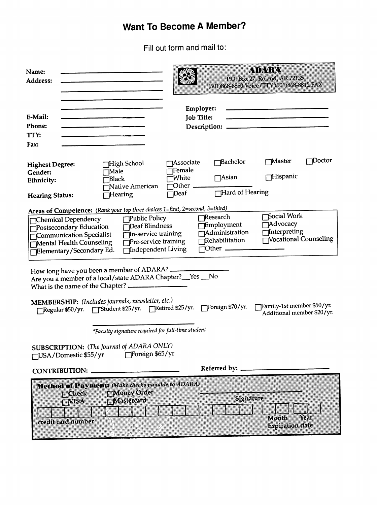## Want To Become A Member?

Fill out form and mail to:

| Name:<br>Address:                                                                                                                                                                                                                                                                                                                                                                                                                                                                                       | <u>kvixvian</u><br>P.O. Box 27, Roland, AR 72135<br>(501)868-8850 Voice/TTY (501)868-8812 FAX                                                                            |
|---------------------------------------------------------------------------------------------------------------------------------------------------------------------------------------------------------------------------------------------------------------------------------------------------------------------------------------------------------------------------------------------------------------------------------------------------------------------------------------------------------|--------------------------------------------------------------------------------------------------------------------------------------------------------------------------|
| E-Mail:<br>Phone:<br>TTY:<br>Fax:                                                                                                                                                                                                                                                                                                                                                                                                                                                                       | Employer:<br><b>Job Title:</b>                                                                                                                                           |
| ⊤High School<br><b>Highest Degree:</b><br>⊤Male<br>Gender:<br>$\Box$ Black<br>Ethnicity:<br>Native American<br>$\Box$ Hearing<br><b>Hearing Status:</b>                                                                                                                                                                                                                                                                                                                                                 | 7Doctor<br>⊤Master<br><b>Bachelor</b><br><b>Associate</b><br><b>Female</b><br>Hispanic<br>$\bigcap$ Asian<br>√White<br>$D$ ther $\_\_$<br>Hard of Hearing<br><b>Deaf</b> |
| Areas of Competence: (Rank your top three choices 1=first, 2=second, 3=third)<br>Social Work<br>¶Research<br>Public Policy<br>Chemical Dependency<br><b>Advocacy</b><br>Employment<br>Deaf Blindness<br>Postsecondary Education<br>Interpreting<br>$\overline{\Box}$ Administration<br>In-service training<br>Communication Specialist<br>Vocational Counseling<br>Rehabilitation<br>Pre-service training<br>Mental Health Counseling<br>$\Box$ Other<br>Independent Living<br>Elementary/Secondary Ed. |                                                                                                                                                                          |
| How long have you been a member of ADARA? _____<br>Are you a member of a local/state ADARA Chapter?__Yes __No                                                                                                                                                                                                                                                                                                                                                                                           |                                                                                                                                                                          |
| MEMBERSHIP: (Includes journals, newsletter, etc.)<br>Regular \$50/yr. Fistudent \$25/yr. Retired \$25/yr. Foreign \$70/yr.                                                                                                                                                                                                                                                                                                                                                                              | Family-1st member \$50/yr.<br>Additional member \$20/yr.                                                                                                                 |
| *Faculty signature required for full-time student                                                                                                                                                                                                                                                                                                                                                                                                                                                       |                                                                                                                                                                          |
| SUBSCRIPTION: (The Journal of ADARA ONLY)<br>Foreign \$65/yr<br>□USA/Domestic \$55/yr                                                                                                                                                                                                                                                                                                                                                                                                                   |                                                                                                                                                                          |
| <b>CONTRIBUTION:</b>                                                                                                                                                                                                                                                                                                                                                                                                                                                                                    | Referred by: __________                                                                                                                                                  |
| Method of Payment: Make checks payable to ADARA)<br>Money Order<br>meheek<br>Signature<br>Mastercard<br>av GA<br>Year<br>Month<br>credit card number<br><b>Expiration</b> date                                                                                                                                                                                                                                                                                                                          |                                                                                                                                                                          |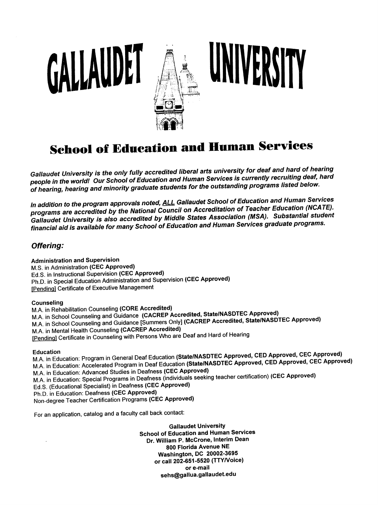

NIVERSITY

# **School of Education and Human Services**

Gallaudet University is the only fully accredited liberal arts university for deaf and hard of hearing people in the world! Our School of Education and Human Services is currently recruiting deaf, hard of hearing, hearing and minority graduate students for the outstanding programs listed below.

In addition to the program approvals noted, **ALL Gallaudet School of Education and Human Services** programs are accredited by the National Council on Accreditation of Teacher Education (NCATE). Gallaudet University is also accredited by Middle States Association (MSA). Substantial student financial aid is available for many School of Education and Human Services graduate programs.

### Offering:

Administration and Supervision M.S. In Administration (CEC Approved) Ed.S. in Instructional Supervision (CEC Approved) Ph.D. in Special Education Administration and Supervision (CEC Approved) [Pending] Certificate of Executive Management

GALLAUDET

### Counseling

M.A. in Rehabilitation Counseling (CORE Accredited) M.A. in School Counseling and Guidance (CACREP Accredited, State/NASDTEC Approved) M.A. in School Counseling and Guidance [Summers Only] (CACREP Accredited, State/NASDTEC Approved) M.A. in Mental Health Counseling (CACREP Accredited) fPendinal Certificate in Counseling with Persons Who are Deaf and Hard of Hearing

Education<br>M.A. in Education: Program in General Deaf Education (State/NASDTEC Approved, CED Approved, CEC Approved) M.A. in Education: Accelerated Program in Deaf Education (State/NASDTEC Approved, CED Approved, CEC Approved)<br>M.A. in Education: Advanced Studies in Deafness (CEC Approved) M.A. in Education: Advanced Studies in Deafness (CEC Approved) M.A. in Education; Special Programs in Deafness (individuals seeking teacher certification) (CEC Approved) Ed.S. (Educational Specialist) in Deafness (CEC Approved) Ph.D. in Education; Deafness (CEC Approved) Non-degree Teacher Certification Programs (CEC Approved)

For an application, catalog and a faculty call back contact;

Gallaudet University School of Education and Human Services Dr. William P. McCrone, Interim Dean 800 Florida Avenue NE Washington, DC 20002-3695 or call 202-651-5520 (TTY/Voice) or e-mail sehs@gallua.gallaudet.edu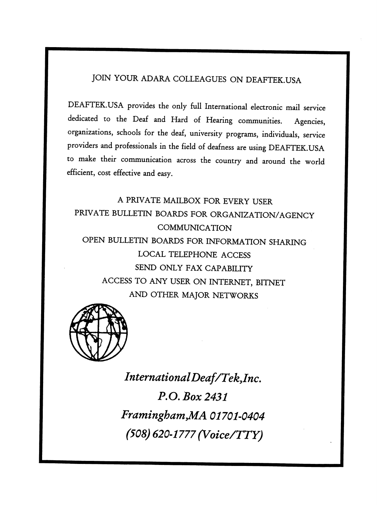## JOIN YOUR ADARA COLLEAGUES ON DEAFTEK.USA

DEAFTEK.USA provides the only full International electronic mail service dedicated to the Deaf and Hard of Hearing communities. Agencies, organizations, schools for the deaf, university programs, individuals, service providers and professionals in the field of deafness are using DEAFTEK.USA to make their communication across the country and around the world efficient, cost effective and easy.

A PRIVATE MAILBOX FOR EVERY USER PRIVATE BULLETIN BOARDS FOR ORGANIZATION/AGENCY COMMUNICATION OPEN BULLETIN BOARDS FOR INFORMATION SHARING LOCAL TELEPHONE ACCESS SEND ONLY FAX CAPABILITY ACCESS TO ANY USER ON INTERNET, BITNET AND OTHER MAJOR NETWORKS



IntemationalDeaf/Tek,Inc. P.O. Box 2431 Framingham, MA 01701-0404 (508) 620-1777 (Voice/TTY)